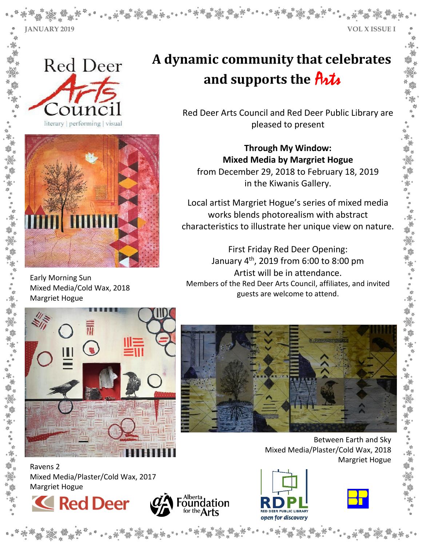**JANUARY 2019 VOL X ISSUE I**





Early Morning Sun Mixed Media/Cold Wax, 2018 Margriet Hogue

# **A dynamic community that celebrates and supports the** Arts

Red Deer Arts Council and Red Deer Public Library are pleased to present

 from December 29, 2018 to February 18, 2019 **Through My Window: Mixed Media by Margriet Hogue** in the Kiwanis Gallery.

Local artist Margriet Hogue's series of mixed media works blends photorealism with abstract characteristics to illustrate her unique view on nature.

First Friday Red Deer Opening: January 4th, 2019 from 6:00 to 8:00 pm Artist will be in attendance. Members of the Red Deer Arts Council, affiliates, and invited guests are welcome to attend.





Ravens 2 Mixed Media/Plaster/Cold Wax, 2017 Margriet Hogue









Between Earth and Sky

Margriet Hogue

Mixed Media/Plaster/Cold Wax, 2018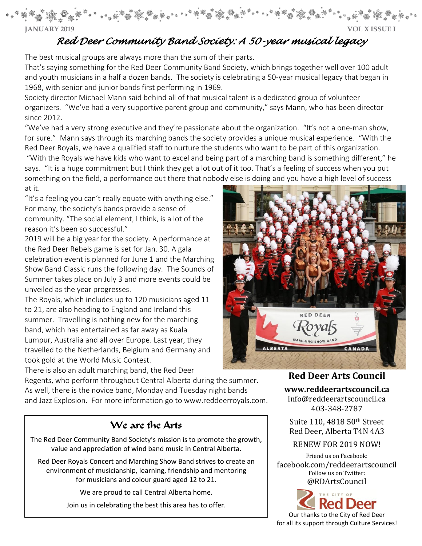**JANUARY 2019 VOL X ISSUE I**

# *Red Deer Community Band Society: A 50-year musical legacy*

The best musical groups are always more than the sum of their parts.

That's saying something for the Red Deer Community Band Society, which brings together well over 100 adult and youth musicians in a half a dozen bands. The society is celebrating a 50-year musical legacy that began in 1968, with senior and junior bands first performing in 1969.

Society director Michael Mann said behind all of that musical talent is a dedicated group of volunteer organizers. "We've had a very supportive parent group and community," says Mann, who has been director since 2012.

"We've had a very strong executive and they're passionate about the organization. "It's not a one-man show, for sure." Mann says through its marching bands the society provides a unique musical experience. "With the Red Deer Royals, we have a qualified staff to nurture the students who want to be part of this organization.

"With the Royals we have kids who want to excel and being part of a marching band is something different," he says. "It is a huge commitment but I think they get a lot out of it too. That's a feeling of success when you put something on the field, a performance out there that nobody else is doing and you have a high level of success at it.

"It's a feeling you can't really equate with anything else." For many, the society's bands provide a sense of community. "The social element, I think, is a lot of the reason it's been so successful."

2019 will be a big year for the society. A performance at the Red Deer Rebels game is set for Jan. 30. A gala celebration event is planned for June 1 and the Marching Show Band Classic runs the following day. The Sounds of Summer takes place on July 3 and more events could be unveiled as the year progresses.

The Royals, which includes up to 120 musicians aged 11 to 21, are also heading to England and Ireland this summer. Travelling is nothing new for the marching band, which has entertained as far away as Kuala Lumpur, Australia and all over Europe. Last year, they travelled to the Netherlands, Belgium and Germany and took gold at the World Music Contest.

There is also an adult marching band, the Red Deer

Regents, who perform throughout Central Alberta during the summer. As well, there is the novice band, Monday and Tuesday night bands and Jazz Explosion. For more information go to www.reddeerroyals.com.

## We are the Arts

The Red Deer Community Band Society's mission is to promote the growth, value and appreciation of wind band music in Central Alberta.

Red Deer Royals Concert and Marching Show Band strives to create an environment of musicianship, learning, friendship and mentoring for musicians and colour guard aged 12 to 21.

We are proud to call Central Alberta home.

Join us in celebrating the best this area has to offer.



**Red Deer Arts Council** 

**[www.reddeerartscouncil.ca](http://www.reddeerartscouncil.ca/)**

info@reddeerartscouncil.ca 403-348-2787

Suite 110, 4818 50th Street Red Deer, Alberta T4N 4A3

#### RENEW FOR 2019 NOW!

Friend us on Facebook: [facebook.com/reddeerartscouncil](http://facebook.com/reddeerartscouncil) Follow us on Twitter: @RDArtsCouncil